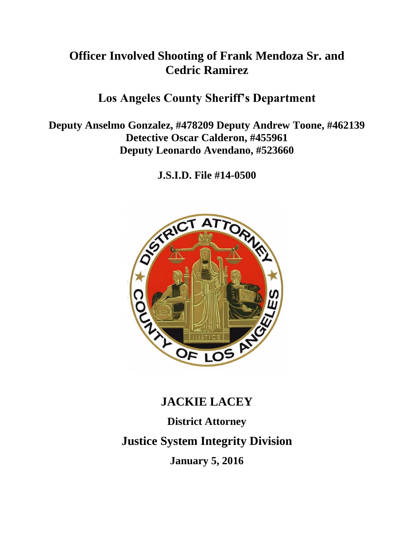# **Officer Involved Shooting of Frank Mendoza Sr. and Cedric Ramirez**

# **Los Angeles County Sheriff's Department**

**Deputy Anselmo Gonzalez, #478209 Deputy Andrew Toone, #462139 Detective Oscar Calderon, #455961 Deputy Leonardo Avendano, #523660** 

**J.S.I.D. File #14-0500**



# **JACKIE LACEY**

**District Attorney Justice System Integrity Division January 5, 2016**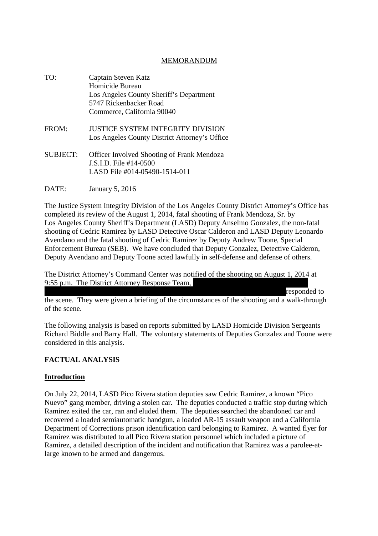#### MEMORANDUM

| TO.             | Captain Steven Katz<br>Homicide Bureau<br>Los Angeles County Sheriff's Department<br>5747 Rickenbacker Road<br>Commerce, California 90040 |
|-----------------|-------------------------------------------------------------------------------------------------------------------------------------------|
| FROM:           | JUSTICE SYSTEM INTEGRITY DIVISION<br>Los Angeles County District Attorney's Office                                                        |
| <b>SUBJECT:</b> | <b>Officer Involved Shooting of Frank Mendoza</b><br>J.S.I.D. File #14-0500<br>LASD File #014-05490-1514-011                              |

DATE: January 5, 2016

The Justice System Integrity Division of the Los Angeles County District Attorney's Office has completed its review of the August 1, 2014, fatal shooting of Frank Mendoza, Sr. by Los Angeles County Sheriff's Department (LASD) Deputy Anselmo Gonzalez, the non-fatal shooting of Cedric Ramirez by LASD Detective Oscar Calderon and LASD Deputy Leonardo Avendano and the fatal shooting of Cedric Ramirez by Deputy Andrew Toone, Special Enforcement Bureau (SEB). We have concluded that Deputy Gonzalez, Detective Calderon, Deputy Avendano and Deputy Toone acted lawfully in self-defense and defense of others.

The District Attorney's Command Center was notified of the shooting on August 1, 2014 at 9:55 p.m. The District Attorney Response Team,

responded to

the scene. They were given a briefing of the circumstances of the shooting and a walk-through of the scene.

The following analysis is based on reports submitted by LASD Homicide Division Sergeants Richard Biddle and Barry Hall. The voluntary statements of Deputies Gonzalez and Toone were considered in this analysis.

# **FACTUAL ANALYSIS**

#### **Introduction**

On July 22, 2014, LASD Pico Rivera station deputies saw Cedric Ramirez, a known "Pico Nuevo" gang member, driving a stolen car. The deputies conducted a traffic stop during which Ramirez exited the car, ran and eluded them. The deputies searched the abandoned car and recovered a loaded semiautomatic handgun, a loaded AR-15 assault weapon and a California Department of Corrections prison identification card belonging to Ramirez. A wanted flyer for Ramirez was distributed to all Pico Rivera station personnel which included a picture of Ramirez, a detailed description of the incident and notification that Ramirez was a parolee-atlarge known to be armed and dangerous.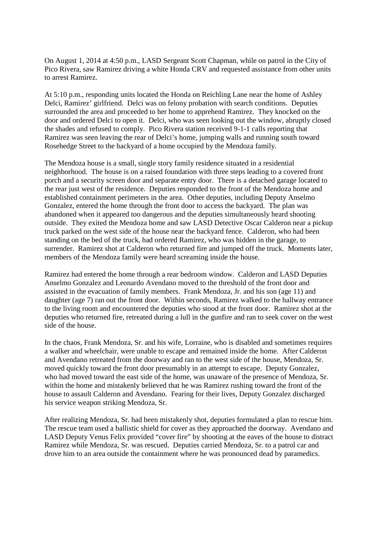On August 1, 2014 at 4:50 p.m., LASD Sergeant Scott Chapman, while on patrol in the City of Pico Rivera, saw Ramirez driving a white Honda CRV and requested assistance from other units to arrest Ramirez.

At 5:10 p.m., responding units located the Honda on Reichling Lane near the home of Ashley Delci, Ramirez' girlfriend. Delci was on felony probation with search conditions. Deputies surrounded the area and proceeded to her home to apprehend Ramirez. They knocked on the door and ordered Delci to open it. Delci, who was seen looking out the window, abruptly closed the shades and refused to comply. Pico Rivera station received 9-1-1 calls reporting that Ramirez was seen leaving the rear of Delci's home, jumping walls and running south toward Rosehedge Street to the backyard of a home occupied by the Mendoza family.

The Mendoza house is a small, single story family residence situated in a residential neighborhood. The house is on a raised foundation with three steps leading to a covered front porch and a security screen door and separate entry door. There is a detached garage located to the rear just west of the residence. Deputies responded to the front of the Mendoza home and established containment perimeters in the area. Other deputies, including Deputy Anselmo Gonzalez, entered the home through the front door to access the backyard. The plan was abandoned when it appeared too dangerous and the deputies simultaneously heard shooting outside. They exited the Mendoza home and saw LASD Detective Oscar Calderon near a pickup truck parked on the west side of the house near the backyard fence. Calderon, who had been standing on the bed of the truck, had ordered Ramirez, who was hidden in the garage, to surrender. Ramirez shot at Calderon who returned fire and jumped off the truck. Moments later, members of the Mendoza family were heard screaming inside the house.

Ramirez had entered the home through a rear bedroom window. Calderon and LASD Deputies Anselmo Gonzalez and Leonardo Avendano moved to the threshold of the front door and assisted in the evacuation of family members. Frank Mendoza, Jr. and his son (age 11) and daughter (age 7) ran out the front door. Within seconds, Ramirez walked to the hallway entrance to the living room and encountered the deputies who stood at the front door. Ramirez shot at the deputies who returned fire, retreated during a lull in the gunfire and ran to seek cover on the west side of the house.

In the chaos, Frank Mendoza, Sr. and his wife, Lorraine, who is disabled and sometimes requires a walker and wheelchair, were unable to escape and remained inside the home. After Calderon and Avendano retreated from the doorway and ran to the west side of the house, Mendoza, Sr. moved quickly toward the front door presumably in an attempt to escape. Deputy Gonzalez, who had moved toward the east side of the home, was unaware of the presence of Mendoza, Sr. within the home and mistakenly believed that he was Ramirez rushing toward the front of the house to assault Calderon and Avendano. Fearing for their lives, Deputy Gonzalez discharged his service weapon striking Mendoza, Sr.

After realizing Mendoza, Sr. had been mistakenly shot, deputies formulated a plan to rescue him. The rescue team used a ballistic shield for cover as they approached the doorway. Avendano and LASD Deputy Venus Felix provided "cover fire" by shooting at the eaves of the house to distract Ramirez while Mendoza, Sr. was rescued. Deputies carried Mendoza, Sr. to a patrol car and drove him to an area outside the containment where he was pronounced dead by paramedics.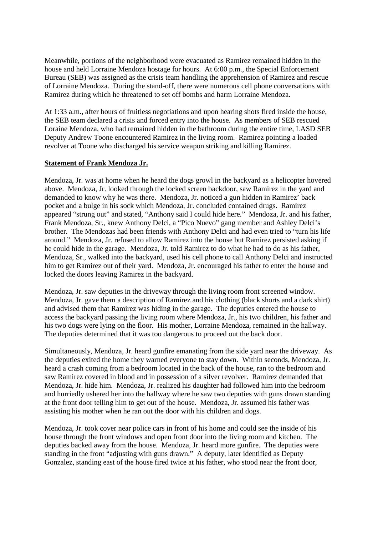Meanwhile, portions of the neighborhood were evacuated as Ramirez remained hidden in the house and held Lorraine Mendoza hostage for hours. At 6:00 p.m., the Special Enforcement Bureau (SEB) was assigned as the crisis team handling the apprehension of Ramirez and rescue of Lorraine Mendoza. During the stand-off, there were numerous cell phone conversations with Ramirez during which he threatened to set off bombs and harm Lorraine Mendoza.

At 1:33 a.m., after hours of fruitless negotiations and upon hearing shots fired inside the house, the SEB team declared a crisis and forced entry into the house. As members of SEB rescued Loraine Mendoza, who had remained hidden in the bathroom during the entire time, LASD SEB Deputy Andrew Toone encountered Ramirez in the living room. Ramirez pointing a loaded revolver at Toone who discharged his service weapon striking and killing Ramirez.

#### **Statement of Frank Mendoza Jr.**

Mendoza, Jr. was at home when he heard the dogs growl in the backyard as a helicopter hovered above. Mendoza, Jr. looked through the locked screen backdoor, saw Ramirez in the yard and demanded to know why he was there. Mendoza, Jr. noticed a gun hidden in Ramirez' back pocket and a bulge in his sock which Mendoza, Jr. concluded contained drugs. Ramirez appeared "strung out" and stated, "Anthony said I could hide here." Mendoza, Jr. and his father, Frank Mendoza, Sr., knew Anthony Delci, a "Pico Nuevo" gang member and Ashley Delci's brother. The Mendozas had been friends with Anthony Delci and had even tried to "turn his life around." Mendoza, Jr. refused to allow Ramirez into the house but Ramirez persisted asking if he could hide in the garage. Mendoza, Jr. told Ramirez to do what he had to do as his father, Mendoza, Sr., walked into the backyard, used his cell phone to call Anthony Delci and instructed him to get Ramirez out of their yard. Mendoza, Jr. encouraged his father to enter the house and locked the doors leaving Ramirez in the backyard.

Mendoza, Jr. saw deputies in the driveway through the living room front screened window. Mendoza, Jr. gave them a description of Ramirez and his clothing (black shorts and a dark shirt) and advised them that Ramirez was hiding in the garage. The deputies entered the house to access the backyard passing the living room where Mendoza, Jr., his two children, his father and his two dogs were lying on the floor. His mother, Lorraine Mendoza, remained in the hallway. The deputies determined that it was too dangerous to proceed out the back door.

Simultaneously, Mendoza, Jr. heard gunfire emanating from the side yard near the driveway. As the deputies exited the home they warned everyone to stay down. Within seconds, Mendoza, Jr. heard a crash coming from a bedroom located in the back of the house, ran to the bedroom and saw Ramirez covered in blood and in possession of a silver revolver. Ramirez demanded that Mendoza, Jr. hide him. Mendoza, Jr. realized his daughter had followed him into the bedroom and hurriedly ushered her into the hallway where he saw two deputies with guns drawn standing at the front door telling him to get out of the house. Mendoza, Jr. assumed his father was assisting his mother when he ran out the door with his children and dogs.

Mendoza, Jr. took cover near police cars in front of his home and could see the inside of his house through the front windows and open front door into the living room and kitchen. The deputies backed away from the house. Mendoza, Jr. heard more gunfire. The deputies were standing in the front "adjusting with guns drawn." A deputy, later identified as Deputy Gonzalez, standing east of the house fired twice at his father, who stood near the front door,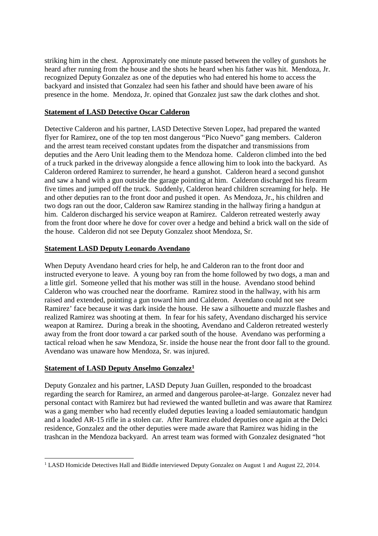striking him in the chest. Approximately one minute passed between the volley of gunshots he heard after running from the house and the shots he heard when his father was hit. Mendoza, Jr. recognized Deputy Gonzalez as one of the deputies who had entered his home to access the backyard and insisted that Gonzalez had seen his father and should have been aware of his presence in the home. Mendoza, Jr. opined that Gonzalez just saw the dark clothes and shot.

#### **Statement of LASD Detective Oscar Calderon**

Detective Calderon and his partner, LASD Detective Steven Lopez, had prepared the wanted flyer for Ramirez, one of the top ten most dangerous "Pico Nuevo" gang members. Calderon and the arrest team received constant updates from the dispatcher and transmissions from deputies and the Aero Unit leading them to the Mendoza home. Calderon climbed into the bed of a truck parked in the driveway alongside a fence allowing him to look into the backyard. As Calderon ordered Ramirez to surrender, he heard a gunshot. Calderon heard a second gunshot and saw a hand with a gun outside the garage pointing at him. Calderon discharged his firearm five times and jumped off the truck. Suddenly, Calderon heard children screaming for help. He and other deputies ran to the front door and pushed it open. As Mendoza, Jr., his children and two dogs ran out the door, Calderon saw Ramirez standing in the hallway firing a handgun at him. Calderon discharged his service weapon at Ramirez. Calderon retreated westerly away from the front door where he dove for cover over a hedge and behind a brick wall on the side of the house. Calderon did not see Deputy Gonzalez shoot Mendoza, Sr.

#### **Statement LASD Deputy Leonardo Avendano**

When Deputy Avendano heard cries for help, he and Calderon ran to the front door and instructed everyone to leave. A young boy ran from the home followed by two dogs, a man and a little girl. Someone yelled that his mother was still in the house. Avendano stood behind Calderon who was crouched near the doorframe. Ramirez stood in the hallway, with his arm raised and extended, pointing a gun toward him and Calderon. Avendano could not see Ramirez' face because it was dark inside the house. He saw a silhouette and muzzle flashes and realized Ramirez was shooting at them. In fear for his safety, Avendano discharged his service weapon at Ramirez. During a break in the shooting, Avendano and Calderon retreated westerly away from the front door toward a car parked south of the house. Avendano was performing a tactical reload when he saw Mendoza, Sr. inside the house near the front door fall to the ground. Avendano was unaware how Mendoza, Sr. was injured.

#### **Statement of LASD Deputy Anselmo Gonzalez<sup>1</sup>**

Deputy Gonzalez and his partner, LASD Deputy Juan Guillen, responded to the broadcast regarding the search for Ramirez, an armed and dangerous parolee-at-large. Gonzalez never had personal contact with Ramirez but had reviewed the wanted bulletin and was aware that Ramirez was a gang member who had recently eluded deputies leaving a loaded semiautomatic handgun and a loaded AR-15 rifle in a stolen car. After Ramirez eluded deputies once again at the Delci residence, Gonzalez and the other deputies were made aware that Ramirez was hiding in the trashcan in the Mendoza backyard. An arrest team was formed with Gonzalez designated "hot

<sup>1</sup> LASD Homicide Detectives Hall and Biddle interviewed Deputy Gonzalez on August 1 and August 22, 2014.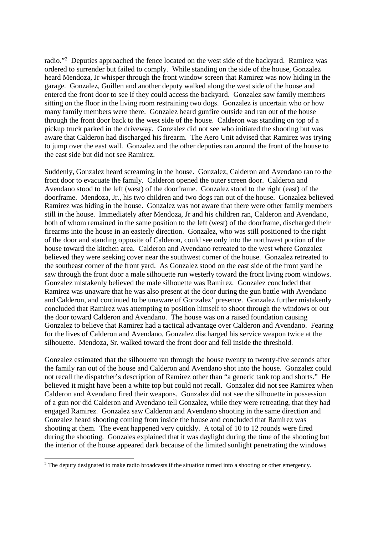radio."<sup>2</sup> Deputies approached the fence located on the west side of the backyard. Ramirez was ordered to surrender but failed to comply. While standing on the side of the house, Gonzalez heard Mendoza, Jr whisper through the front window screen that Ramirez was now hiding in the garage. Gonzalez, Guillen and another deputy walked along the west side of the house and entered the front door to see if they could access the backyard. Gonzalez saw family members sitting on the floor in the living room restraining two dogs. Gonzalez is uncertain who or how many family members were there. Gonzalez heard gunfire outside and ran out of the house through the front door back to the west side of the house. Calderon was standing on top of a pickup truck parked in the driveway. Gonzalez did not see who initiated the shooting but was aware that Calderon had discharged his firearm. The Aero Unit advised that Ramirez was trying to jump over the east wall. Gonzalez and the other deputies ran around the front of the house to the east side but did not see Ramirez.

Suddenly, Gonzalez heard screaming in the house. Gonzalez, Calderon and Avendano ran to the front door to evacuate the family. Calderon opened the outer screen door. Calderon and Avendano stood to the left (west) of the doorframe. Gonzalez stood to the right (east) of the doorframe. Mendoza, Jr., his two children and two dogs ran out of the house. Gonzalez believed Ramirez was hiding in the house. Gonzalez was not aware that there were other family members still in the house. Immediately after Mendoza, Jr and his children ran, Calderon and Avendano, both of whom remained in the same position to the left (west) of the doorframe, discharged their firearms into the house in an easterly direction. Gonzalez, who was still positioned to the right of the door and standing opposite of Calderon, could see only into the northwest portion of the house toward the kitchen area. Calderon and Avendano retreated to the west where Gonzalez believed they were seeking cover near the southwest corner of the house. Gonzalez retreated to the southeast corner of the front yard. As Gonzalez stood on the east side of the front yard he saw through the front door a male silhouette run westerly toward the front living room windows. Gonzalez mistakenly believed the male silhouette was Ramirez. Gonzalez concluded that Ramirez was unaware that he was also present at the door during the gun battle with Avendano and Calderon, and continued to be unaware of Gonzalez' presence. Gonzalez further mistakenly concluded that Ramirez was attempting to position himself to shoot through the windows or out the door toward Calderon and Avendano. The house was on a raised foundation causing Gonzalez to believe that Ramirez had a tactical advantage over Calderon and Avendano. Fearing for the lives of Calderon and Avendano, Gonzalez discharged his service weapon twice at the silhouette. Mendoza, Sr. walked toward the front door and fell inside the threshold.

Gonzalez estimated that the silhouette ran through the house twenty to twenty-five seconds after the family ran out of the house and Calderon and Avendano shot into the house. Gonzalez could not recall the dispatcher's description of Ramirez other than "a generic tank top and shorts." He believed it might have been a white top but could not recall. Gonzalez did not see Ramirez when Calderon and Avendano fired their weapons. Gonzalez did not see the silhouette in possession of a gun nor did Calderon and Avendano tell Gonzalez, while they were retreating, that they had engaged Ramirez. Gonzalez saw Calderon and Avendano shooting in the same direction and Gonzalez heard shooting coming from inside the house and concluded that Ramirez was shooting at them. The event happened very quickly. A total of 10 to 12 rounds were fired during the shooting. Gonzales explained that it was daylight during the time of the shooting but the interior of the house appeared dark because of the limited sunlight penetrating the windows

<sup>&</sup>lt;sup>2</sup> The deputy designated to make radio broadcasts if the situation turned into a shooting or other emergency.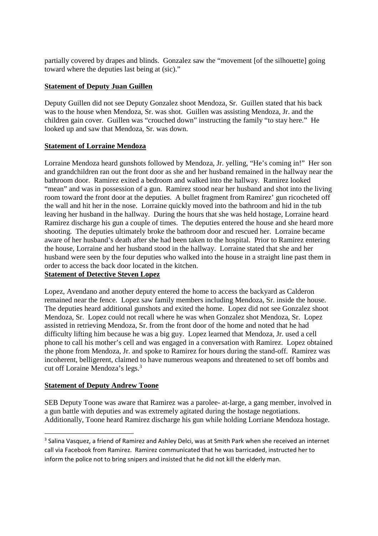partially covered by drapes and blinds. Gonzalez saw the "movement [of the silhouette] going toward where the deputies last being at (sic)."

## **Statement of Deputy Juan Guillen**

Deputy Guillen did not see Deputy Gonzalez shoot Mendoza, Sr. Guillen stated that his back was to the house when Mendoza, Sr. was shot. Guillen was assisting Mendoza, Jr. and the children gain cover. Guillen was "crouched down" instructing the family "to stay here." He looked up and saw that Mendoza, Sr. was down.

## **Statement of Lorraine Mendoza**

Lorraine Mendoza heard gunshots followed by Mendoza, Jr. yelling, "He's coming in!" Her son and grandchildren ran out the front door as she and her husband remained in the hallway near the bathroom door. Ramirez exited a bedroom and walked into the hallway. Ramirez looked "mean" and was in possession of a gun. Ramirez stood near her husband and shot into the living room toward the front door at the deputies. A bullet fragment from Ramirez' gun ricocheted off the wall and hit her in the nose. Lorraine quickly moved into the bathroom and hid in the tub leaving her husband in the hallway. During the hours that she was held hostage, Lorraine heard Ramirez discharge his gun a couple of times. The deputies entered the house and she heard more shooting. The deputies ultimately broke the bathroom door and rescued her. Lorraine became aware of her husband's death after she had been taken to the hospital. Prior to Ramirez entering the house, Lorraine and her husband stood in the hallway. Lorraine stated that she and her husband were seen by the four deputies who walked into the house in a straight line past them in order to access the back door located in the kitchen.

# **Statement of Detective Steven Lopez**

Lopez, Avendano and another deputy entered the home to access the backyard as Calderon remained near the fence. Lopez saw family members including Mendoza, Sr. inside the house. The deputies heard additional gunshots and exited the home. Lopez did not see Gonzalez shoot Mendoza, Sr. Lopez could not recall where he was when Gonzalez shot Mendoza, Sr. Lopez assisted in retrieving Mendoza, Sr. from the front door of the home and noted that he had difficulty lifting him because he was a big guy. Lopez learned that Mendoza, Jr. used a cell phone to call his mother's cell and was engaged in a conversation with Ramirez. Lopez obtained the phone from Mendoza, Jr. and spoke to Ramirez for hours during the stand-off. Ramirez was incoherent, belligerent, claimed to have numerous weapons and threatened to set off bombs and cut off Loraine Mendoza's legs.<sup>3</sup>

#### **Statement of Deputy Andrew Toone**

SEB Deputy Toone was aware that Ramirez was a parolee- at-large, a gang member, involved in a gun battle with deputies and was extremely agitated during the hostage negotiations. Additionally, Toone heard Ramirez discharge his gun while holding Lorriane Mendoza hostage.

<sup>&</sup>lt;sup>3</sup> Salina Vasquez, a friend of Ramirez and Ashley Delci, was at Smith Park when she received an internet call via Facebook from Ramirez. Ramirez communicated that he was barricaded, instructed her to inform the police not to bring snipers and insisted that he did not kill the elderly man.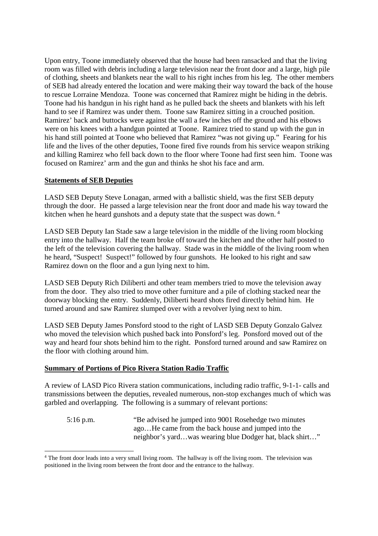Upon entry, Toone immediately observed that the house had been ransacked and that the living room was filled with debris including a large television near the front door and a large, high pile of clothing, sheets and blankets near the wall to his right inches from his leg. The other members of SEB had already entered the location and were making their way toward the back of the house to rescue Lorraine Mendoza. Toone was concerned that Ramirez might be hiding in the debris. Toone had his handgun in his right hand as he pulled back the sheets and blankets with his left hand to see if Ramirez was under them. Toone saw Ramirez sitting in a crouched position. Ramirez' back and buttocks were against the wall a few inches off the ground and his elbows were on his knees with a handgun pointed at Toone. Ramirez tried to stand up with the gun in his hand still pointed at Toone who believed that Ramirez "was not giving up." Fearing for his life and the lives of the other deputies, Toone fired five rounds from his service weapon striking and killing Ramirez who fell back down to the floor where Toone had first seen him. Toone was focused on Ramirez' arm and the gun and thinks he shot his face and arm.

#### **Statements of SEB Deputies**

LASD SEB Deputy Steve Lonagan, armed with a ballistic shield, was the first SEB deputy through the door. He passed a large television near the front door and made his way toward the kitchen when he heard gunshots and a deputy state that the suspect was down.<sup>4</sup>

LASD SEB Deputy Ian Stade saw a large television in the middle of the living room blocking entry into the hallway. Half the team broke off toward the kitchen and the other half posted to the left of the television covering the hallway. Stade was in the middle of the living room when he heard, "Suspect! Suspect!" followed by four gunshots. He looked to his right and saw Ramirez down on the floor and a gun lying next to him.

LASD SEB Deputy Rich Diliberti and other team members tried to move the television away from the door. They also tried to move other furniture and a pile of clothing stacked near the doorway blocking the entry. Suddenly, Diliberti heard shots fired directly behind him. He turned around and saw Ramirez slumped over with a revolver lying next to him.

LASD SEB Deputy James Ponsford stood to the right of LASD SEB Deputy Gonzalo Galvez who moved the television which pushed back into Ponsford's leg. Ponsford moved out of the way and heard four shots behind him to the right. Ponsford turned around and saw Ramirez on the floor with clothing around him.

#### **Summary of Portions of Pico Rivera Station Radio Traffic**

A review of LASD Pico Rivera station communications, including radio traffic, 9-1-1- calls and transmissions between the deputies, revealed numerous, non-stop exchanges much of which was garbled and overlapping. The following is a summary of relevant portions:

5:16 p.m. "Be advised he jumped into 9001 Rosehedge two minutes ago…He came from the back house and jumped into the neighbor's yard…was wearing blue Dodger hat, black shirt…"

<sup>&</sup>lt;sup>4</sup> The front door leads into a very small living room. The hallway is off the living room. The television was positioned in the living room between the front door and the entrance to the hallway.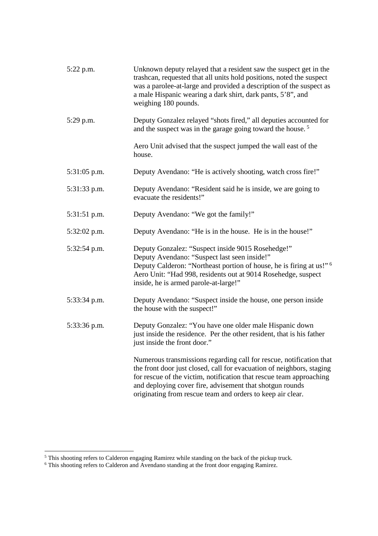| 5:22 p.m.      | Unknown deputy relayed that a resident saw the suspect get in the<br>trashcan, requested that all units hold positions, noted the suspect<br>was a parolee-at-large and provided a description of the suspect as<br>a male Hispanic wearing a dark shirt, dark pants, 5'8", and<br>weighing 180 pounds.                                       |
|----------------|-----------------------------------------------------------------------------------------------------------------------------------------------------------------------------------------------------------------------------------------------------------------------------------------------------------------------------------------------|
| 5:29 p.m.      | Deputy Gonzalez relayed "shots fired," all deputies accounted for<br>and the suspect was in the garage going toward the house. <sup>5</sup>                                                                                                                                                                                                   |
|                | Aero Unit advised that the suspect jumped the wall east of the<br>house.                                                                                                                                                                                                                                                                      |
| $5:31:05$ p.m. | Deputy Avendano: "He is actively shooting, watch cross fire!"                                                                                                                                                                                                                                                                                 |
| 5:31:33 p.m.   | Deputy Avendano: "Resident said he is inside, we are going to<br>evacuate the residents!"                                                                                                                                                                                                                                                     |
| 5:31:51 p.m.   | Deputy Avendano: "We got the family!"                                                                                                                                                                                                                                                                                                         |
| $5:32:02$ p.m. | Deputy Avendano: "He is in the house. He is in the house!"                                                                                                                                                                                                                                                                                    |
| 5:32:54 p.m.   | Deputy Gonzalez: "Suspect inside 9015 Rosehedge!"<br>Deputy Avendano: "Suspect last seen inside!"<br>Deputy Calderon: "Northeast portion of house, he is firing at us!" <sup>6</sup><br>Aero Unit: "Had 998, residents out at 9014 Rosehedge, suspect<br>inside, he is armed parole-at-large!"                                                |
| 5:33:34 p.m.   | Deputy Avendano: "Suspect inside the house, one person inside<br>the house with the suspect!"                                                                                                                                                                                                                                                 |
| 5:33:36 p.m.   | Deputy Gonzalez: "You have one older male Hispanic down<br>just inside the residence. Per the other resident, that is his father<br>just inside the front door."                                                                                                                                                                              |
|                | Numerous transmissions regarding call for rescue, notification that<br>the front door just closed, call for evacuation of neighbors, staging<br>for rescue of the victim, notification that rescue team approaching<br>and deploying cover fire, advisement that shotgun rounds<br>originating from rescue team and orders to keep air clear. |

 $<sup>5</sup>$  This shooting refers to Calderon engaging Ramirez while standing on the back of the pickup truck.</sup>

<sup>&</sup>lt;sup>6</sup> This shooting refers to Calderon and Avendano standing at the front door engaging Ramirez.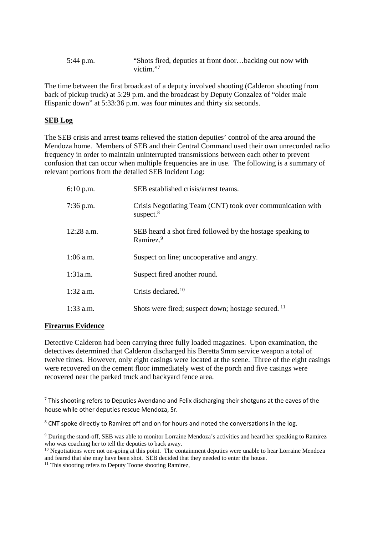| $5:44$ p.m. | "Shots fired, deputies at front doorbacking out now with |
|-------------|----------------------------------------------------------|
|             | victim. $"$                                              |

The time between the first broadcast of a deputy involved shooting (Calderon shooting from back of pickup truck) at 5:29 p.m. and the broadcast by Deputy Gonzalez of "older male Hispanic down" at 5:33:36 p.m. was four minutes and thirty six seconds.

#### **SEB Log**

The SEB crisis and arrest teams relieved the station deputies' control of the area around the Mendoza home. Members of SEB and their Central Command used their own unrecorded radio frequency in order to maintain uninterrupted transmissions between each other to prevent confusion that can occur when multiple frequencies are in use. The following is a summary of relevant portions from the detailed SEB Incident Log:

| $6:10$ p.m.  | SEB established crisis/arrest teams.                                                |
|--------------|-------------------------------------------------------------------------------------|
| $7:36$ p.m.  | Crisis Negotiating Team (CNT) took over communication with<br>suspect. $8$          |
| $12:28$ a.m. | SEB heard a shot fired followed by the hostage speaking to<br>Ramirez. <sup>9</sup> |
| $1:06$ a.m.  | Suspect on line; uncooperative and angry.                                           |
| 1:31a.m.     | Suspect fired another round.                                                        |
| $1:32$ a.m.  | Crisis declared. <sup>10</sup>                                                      |
| $1:33$ a.m.  | Shots were fired; suspect down; hostage secured. <sup>11</sup>                      |

#### **Firearms Evidence**

Detective Calderon had been carrying three fully loaded magazines. Upon examination, the detectives determined that Calderon discharged his Beretta 9mm service weapon a total of twelve times. However, only eight casings were located at the scene. Three of the eight casings were recovered on the cement floor immediately west of the porch and five casings were recovered near the parked truck and backyard fence area.

 $<sup>7</sup>$  This shooting refers to Deputies Avendano and Felix discharging their shotguns at the eaves of the</sup> house while other deputies rescue Mendoza, Sr.

<sup>&</sup>lt;sup>8</sup> CNT spoke directly to Ramirez off and on for hours and noted the conversations in the log.

<sup>9</sup> During the stand-off, SEB was able to monitor Lorraine Mendoza's activities and heard her speaking to Ramirez who was coaching her to tell the deputies to back away.

<sup>&</sup>lt;sup>10</sup> Negotiations were not on-going at this point. The containment deputies were unable to hear Lorraine Mendoza and feared that she may have been shot. SEB decided that they needed to enter the house.

<sup>&</sup>lt;sup>11</sup> This shooting refers to Deputy Toone shooting Ramirez,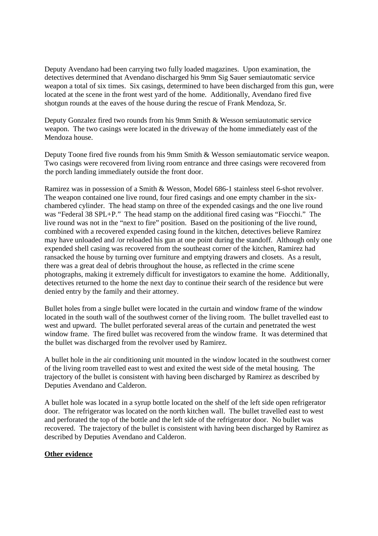Deputy Avendano had been carrying two fully loaded magazines. Upon examination, the detectives determined that Avendano discharged his 9mm Sig Sauer semiautomatic service weapon a total of six times. Six casings, determined to have been discharged from this gun, were located at the scene in the front west yard of the home. Additionally, Avendano fired five shotgun rounds at the eaves of the house during the rescue of Frank Mendoza, Sr.

Deputy Gonzalez fired two rounds from his 9mm Smith & Wesson semiautomatic service weapon. The two casings were located in the driveway of the home immediately east of the Mendoza house.

Deputy Toone fired five rounds from his 9mm Smith & Wesson semiautomatic service weapon. Two casings were recovered from living room entrance and three casings were recovered from the porch landing immediately outside the front door.

Ramirez was in possession of a Smith & Wesson, Model 686-1 stainless steel 6-shot revolver. The weapon contained one live round, four fired casings and one empty chamber in the sixchambered cylinder. The head stamp on three of the expended casings and the one live round was "Federal 38 SPL+P." The head stamp on the additional fired casing was "Fiocchi." The live round was not in the "next to fire" position. Based on the positioning of the live round, combined with a recovered expended casing found in the kitchen, detectives believe Ramirez may have unloaded and /or reloaded his gun at one point during the standoff. Although only one expended shell casing was recovered from the southeast corner of the kitchen, Ramirez had ransacked the house by turning over furniture and emptying drawers and closets. As a result, there was a great deal of debris throughout the house, as reflected in the crime scene photographs, making it extremely difficult for investigators to examine the home. Additionally, detectives returned to the home the next day to continue their search of the residence but were denied entry by the family and their attorney.

Bullet holes from a single bullet were located in the curtain and window frame of the window located in the south wall of the southwest corner of the living room. The bullet travelled east to west and upward. The bullet perforated several areas of the curtain and penetrated the west window frame. The fired bullet was recovered from the window frame. It was determined that the bullet was discharged from the revolver used by Ramirez.

A bullet hole in the air conditioning unit mounted in the window located in the southwest corner of the living room travelled east to west and exited the west side of the metal housing. The trajectory of the bullet is consistent with having been discharged by Ramirez as described by Deputies Avendano and Calderon.

A bullet hole was located in a syrup bottle located on the shelf of the left side open refrigerator door. The refrigerator was located on the north kitchen wall. The bullet travelled east to west and perforated the top of the bottle and the left side of the refrigerator door. No bullet was recovered. The trajectory of the bullet is consistent with having been discharged by Ramirez as described by Deputies Avendano and Calderon.

# **Other evidence**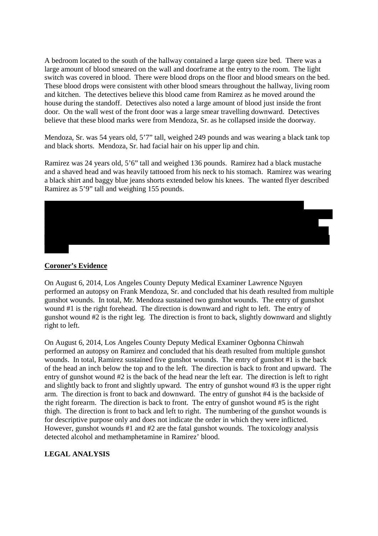A bedroom located to the south of the hallway contained a large queen size bed. There was a large amount of blood smeared on the wall and doorframe at the entry to the room. The light switch was covered in blood. There were blood drops on the floor and blood smears on the bed. These blood drops were consistent with other blood smears throughout the hallway, living room and kitchen. The detectives believe this blood came from Ramirez as he moved around the house during the standoff. Detectives also noted a large amount of blood just inside the front door. On the wall west of the front door was a large smear travelling downward. Detectives believe that these blood marks were from Mendoza, Sr. as he collapsed inside the doorway.

Mendoza, Sr. was 54 years old, 5'7" tall, weighed 249 pounds and was wearing a black tank top and black shorts. Mendoza, Sr. had facial hair on his upper lip and chin.

Ramirez was 24 years old, 5'6" tall and weighed 136 pounds. Ramirez had a black mustache and a shaved head and was heavily tattooed from his neck to his stomach. Ramirez was wearing a black shirt and baggy blue jeans shorts extended below his knees. The wanted flyer described Ramirez as 5'9" tall and weighing 155 pounds.



#### **Coroner's Evidence**

On August 6, 2014, Los Angeles County Deputy Medical Examiner Lawrence Nguyen performed an autopsy on Frank Mendoza, Sr. and concluded that his death resulted from multiple gunshot wounds. In total, Mr. Mendoza sustained two gunshot wounds. The entry of gunshot wound #1 is the right forehead. The direction is downward and right to left. The entry of gunshot wound #2 is the right leg. The direction is front to back, slightly downward and slightly right to left.

On August 6, 2014, Los Angeles County Deputy Medical Examiner Ogbonna Chinwah performed an autopsy on Ramirez and concluded that his death resulted from multiple gunshot wounds. In total, Ramirez sustained five gunshot wounds. The entry of gunshot #1 is the back of the head an inch below the top and to the left. The direction is back to front and upward. The entry of gunshot wound #2 is the back of the head near the left ear. The direction is left to right and slightly back to front and slightly upward. The entry of gunshot wound #3 is the upper right arm. The direction is front to back and downward. The entry of gunshot #4 is the backside of the right forearm. The direction is back to front. The entry of gunshot wound #5 is the right thigh. The direction is front to back and left to right. The numbering of the gunshot wounds is for descriptive purpose only and does not indicate the order in which they were inflicted. However, gunshot wounds #1 and #2 are the fatal gunshot wounds. The toxicology analysis detected alcohol and methamphetamine in Ramirez' blood.

# **LEGAL ANALYSIS**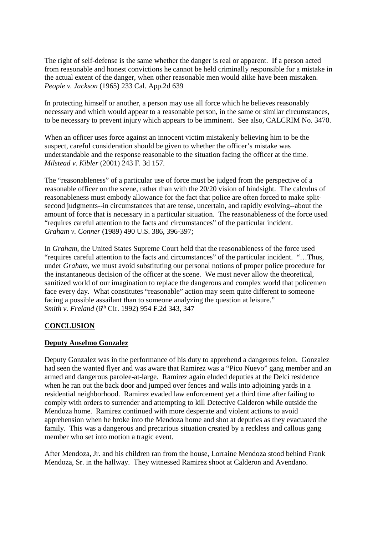The right of self-defense is the same whether the danger is real or apparent. If a person acted from reasonable and honest convictions he cannot be held criminally responsible for a mistake in the actual extent of the danger, when other reasonable men would alike have been mistaken. *People v. Jackson* (1965) 233 Cal. App.2d 639

In protecting himself or another, a person may use all force which he believes reasonably necessary and which would appear to a reasonable person, in the same or similar circumstances, to be necessary to prevent injury which appears to be imminent. See also, CALCRIM No. 3470.

When an officer uses force against an innocent victim mistakenly believing him to be the suspect, careful consideration should be given to whether the officer's mistake was understandable and the response reasonable to the situation facing the officer at the time. *Milstead v. Kibler* (2001) 243 F. 3d 157.

The "reasonableness" of a particular use of force must be judged from the perspective of a reasonable officer on the scene, rather than with the 20/20 vision of hindsight. The calculus of reasonableness must embody allowance for the fact that police are often forced to make splitsecond judgments--in circumstances that are tense, uncertain, and rapidly evolving--about the amount of force that is necessary in a particular situation. The reasonableness of the force used "requires careful attention to the facts and circumstances" of the particular incident. *Graham v. Conner* (1989) 490 U.S. 386, 396-397;

In *Graham*, the United States Supreme Court held that the reasonableness of the force used "requires careful attention to the facts and circumstances" of the particular incident. "…Thus, under *Graham*, we must avoid substituting our personal notions of proper police procedure for the instantaneous decision of the officer at the scene. We must never allow the theoretical, sanitized world of our imagination to replace the dangerous and complex world that policemen face every day. What constitutes "reasonable" action may seem quite different to someone facing a possible assailant than to someone analyzing the question at leisure." *Smith v. Freland* (6th Cir. 1992) 954 F.2d 343, 347

#### **CONCLUSION**

#### **Deputy Anselmo Gonzalez**

Deputy Gonzalez was in the performance of his duty to apprehend a dangerous felon. Gonzalez had seen the wanted flyer and was aware that Ramirez was a "Pico Nuevo" gang member and an armed and dangerous parolee-at-large. Ramirez again eluded deputies at the Delci residence when he ran out the back door and jumped over fences and walls into adjoining yards in a residential neighborhood. Ramirez evaded law enforcement yet a third time after failing to comply with orders to surrender and attempting to kill Detective Calderon while outside the Mendoza home. Ramirez continued with more desperate and violent actions to avoid apprehension when he broke into the Mendoza home and shot at deputies as they evacuated the family. This was a dangerous and precarious situation created by a reckless and callous gang member who set into motion a tragic event.

After Mendoza, Jr. and his children ran from the house, Lorraine Mendoza stood behind Frank Mendoza, Sr. in the hallway. They witnessed Ramirez shoot at Calderon and Avendano.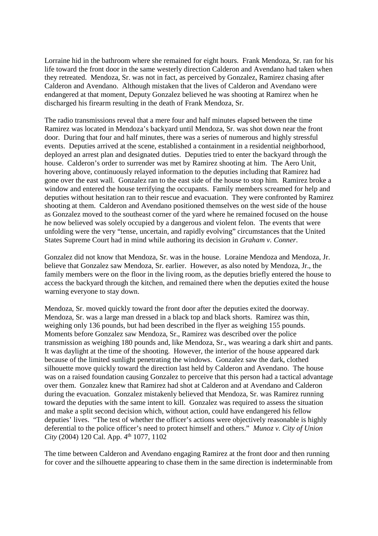Lorraine hid in the bathroom where she remained for eight hours. Frank Mendoza, Sr. ran for his life toward the front door in the same westerly direction Calderon and Avendano had taken when they retreated. Mendoza, Sr. was not in fact, as perceived by Gonzalez, Ramirez chasing after Calderon and Avendano. Although mistaken that the lives of Calderon and Avendano were endangered at that moment, Deputy Gonzalez believed he was shooting at Ramirez when he discharged his firearm resulting in the death of Frank Mendoza, Sr.

The radio transmissions reveal that a mere four and half minutes elapsed between the time Ramirez was located in Mendoza's backyard until Mendoza, Sr. was shot down near the front door. During that four and half minutes, there was a series of numerous and highly stressful events. Deputies arrived at the scene, established a containment in a residential neighborhood, deployed an arrest plan and designated duties. Deputies tried to enter the backyard through the house. Calderon's order to surrender was met by Ramirez shooting at him. The Aero Unit, hovering above, continuously relayed information to the deputies including that Ramirez had gone over the east wall. Gonzalez ran to the east side of the house to stop him. Ramirez broke a window and entered the house terrifying the occupants. Family members screamed for help and deputies without hesitation ran to their rescue and evacuation. They were confronted by Ramirez shooting at them. Calderon and Avendano positioned themselves on the west side of the house as Gonzalez moved to the southeast corner of the yard where he remained focused on the house he now believed was solely occupied by a dangerous and violent felon. The events that were unfolding were the very "tense, uncertain, and rapidly evolving" circumstances that the United States Supreme Court had in mind while authoring its decision in *Graham v. Conner*.

Gonzalez did not know that Mendoza, Sr. was in the house. Loraine Mendoza and Mendoza, Jr. believe that Gonzalez saw Mendoza, Sr. earlier. However, as also noted by Mendoza, Jr., the family members were on the floor in the living room, as the deputies briefly entered the house to access the backyard through the kitchen, and remained there when the deputies exited the house warning everyone to stay down.

Mendoza, Sr. moved quickly toward the front door after the deputies exited the doorway. Mendoza, Sr. was a large man dressed in a black top and black shorts. Ramirez was thin, weighing only 136 pounds, but had been described in the flyer as weighing 155 pounds. Moments before Gonzalez saw Mendoza, Sr., Ramirez was described over the police transmission as weighing 180 pounds and, like Mendoza, Sr., was wearing a dark shirt and pants. It was daylight at the time of the shooting. However, the interior of the house appeared dark because of the limited sunlight penetrating the windows. Gonzalez saw the dark, clothed silhouette move quickly toward the direction last held by Calderon and Avendano. The house was on a raised foundation causing Gonzalez to perceive that this person had a tactical advantage over them. Gonzalez knew that Ramirez had shot at Calderon and at Avendano and Calderon during the evacuation. Gonzalez mistakenly believed that Mendoza, Sr. was Ramirez running toward the deputies with the same intent to kill. Gonzalez was required to assess the situation and make a split second decision which, without action, could have endangered his fellow deputies' lives. "The test of whether the officer's actions were objectively reasonable is highly deferential to the police officer's need to protect himself and others." *Munoz v. City of Union City* (2004) 120 Cal. App. 4<sup>th</sup> 1077, 1102

The time between Calderon and Avendano engaging Ramirez at the front door and then running for cover and the silhouette appearing to chase them in the same direction is indeterminable from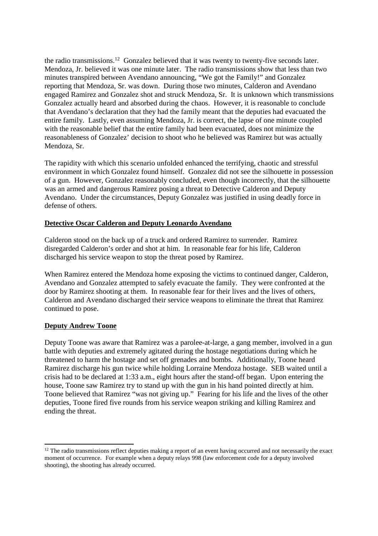the radio transmissions.<sup>12</sup> Gonzalez believed that it was twenty to twenty-five seconds later. Mendoza, Jr. believed it was one minute later. The radio transmissions show that less than two minutes transpired between Avendano announcing, "We got the Family!" and Gonzalez reporting that Mendoza, Sr. was down. During those two minutes, Calderon and Avendano engaged Ramirez and Gonzalez shot and struck Mendoza, Sr. It is unknown which transmissions Gonzalez actually heard and absorbed during the chaos. However, it is reasonable to conclude that Avendano's declaration that they had the family meant that the deputies had evacuated the entire family. Lastly, even assuming Mendoza, Jr. is correct, the lapse of one minute coupled with the reasonable belief that the entire family had been evacuated, does not minimize the reasonableness of Gonzalez' decision to shoot who he believed was Ramirez but was actually Mendoza, Sr.

The rapidity with which this scenario unfolded enhanced the terrifying, chaotic and stressful environment in which Gonzalez found himself. Gonzalez did not see the silhouette in possession of a gun. However, Gonzalez reasonably concluded, even though incorrectly, that the silhouette was an armed and dangerous Ramirez posing a threat to Detective Calderon and Deputy Avendano. Under the circumstances, Deputy Gonzalez was justified in using deadly force in defense of others.

## **Detective Oscar Calderon and Deputy Leonardo Avendano**

Calderon stood on the back up of a truck and ordered Ramirez to surrender. Ramirez disregarded Calderon's order and shot at him. In reasonable fear for his life, Calderon discharged his service weapon to stop the threat posed by Ramirez.

When Ramirez entered the Mendoza home exposing the victims to continued danger, Calderon, Avendano and Gonzalez attempted to safely evacuate the family. They were confronted at the door by Ramirez shooting at them. In reasonable fear for their lives and the lives of others, Calderon and Avendano discharged their service weapons to eliminate the threat that Ramirez continued to pose.

#### **Deputy Andrew Toone**

Deputy Toone was aware that Ramirez was a parolee-at-large, a gang member, involved in a gun battle with deputies and extremely agitated during the hostage negotiations during which he threatened to harm the hostage and set off grenades and bombs. Additionally, Toone heard Ramirez discharge his gun twice while holding Lorraine Mendoza hostage. SEB waited until a crisis had to be declared at 1:33 a.m., eight hours after the stand-off began. Upon entering the house, Toone saw Ramirez try to stand up with the gun in his hand pointed directly at him. Toone believed that Ramirez "was not giving up." Fearing for his life and the lives of the other deputies, Toone fired five rounds from his service weapon striking and killing Ramirez and ending the threat.

<sup>&</sup>lt;sup>12</sup> The radio transmissions reflect deputies making a report of an event having occurred and not necessarily the exact moment of occurrence. For example when a deputy relays 998 (law enforcement code for a deputy involved shooting), the shooting has already occurred.